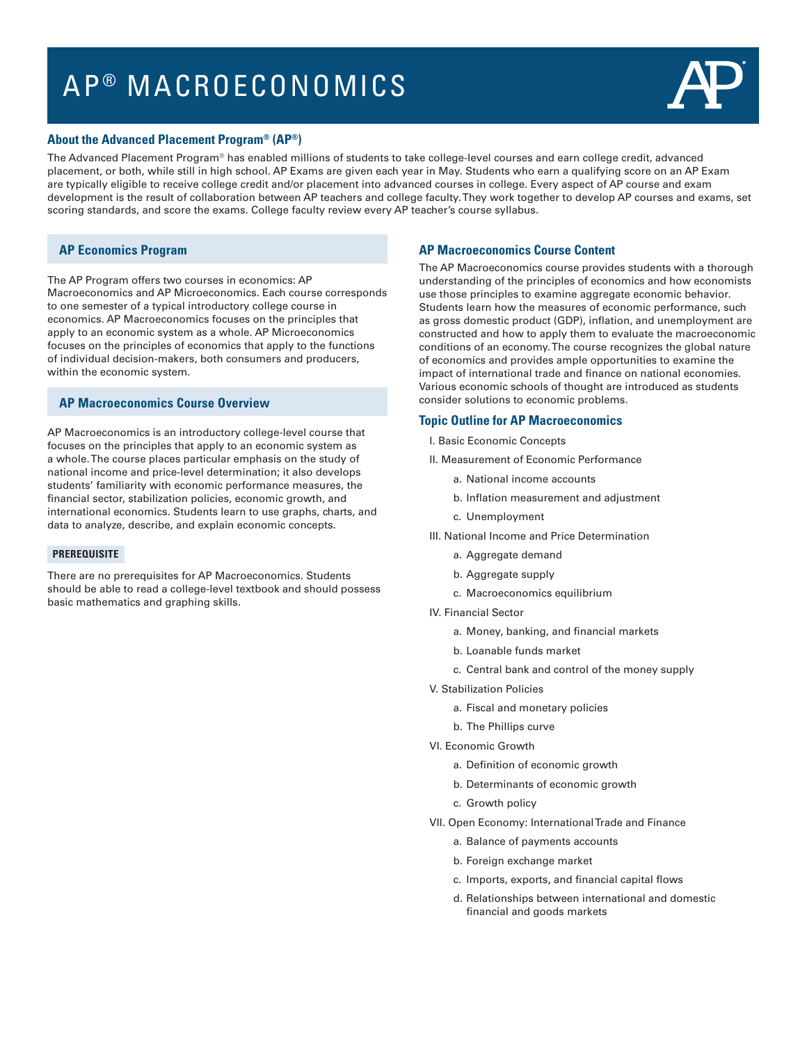# AP ® MACROECONOMICS



#### **About the Advanced Placement Program® (AP®)**

The Advanced Placement Program® has enabled millions of students to take college-level courses and earn college credit, advanced placement, or both, while still in high school. AP Exams are given each year in May. Students who earn a qualifying score on an AP Exam are typically eligible to receive college credit and/or placement into advanced courses in college. Every aspect of AP course and exam development is the result of collaboration between AP teachers and college faculty. They work together to develop AP courses and exams, set scoring standards, and score the exams. College faculty review every AP teacher's course syllabus.

# **AP Economics Program**

The AP Program offers two courses in economics: AP Macroeconomics and AP Microeconomics. Each course corresponds to one semester of a typical introductory college course in economics. AP Macroeconomics focuses on the principles that apply to an economic system as a whole. AP Microeconomics focuses on the principles of economics that apply to the functions of individual decision-makers, both consumers and producers, within the economic system.

# **AP Macroeconomics Course Overview**

AP Macroeconomics is an introductory college-level course that focuses on the principles that apply to an economic system as a whole. The course places particular emphasis on the study of national income and price-level determination; it also develops students' familiarity with economic performance measures, the financial sector, stabilization policies, economic growth, and international economics. Students learn to use graphs, charts, and data to analyze, describe, and explain economic concepts.

#### **PREREQUISITE**

There are no prerequisites for AP Macroeconomics. Students should be able to read a college-level textbook and should possess basic mathematics and graphing skills.

### **AP Macroeconomics Course Content**

The AP Macroeconomics course provides students with a thorough understanding of the principles of economics and how economists use those principles to examine aggregate economic behavior. Students learn how the measures of economic performance, such as gross domestic product (GDP), inflation, and unemployment are constructed and how to apply them to evaluate the macroeconomic conditions of an economy. The course recognizes the global nature of economics and provides ample opportunities to examine the impact of international trade and finance on national economies. Various economic schools of thought are introduced as students consider solutions to economic problems.

#### **Topic Outline for AP Macroeconomics**

- I. Basic Economic Concepts
- II. Measurement of Economic Performance
	- a. National income accounts
	- b. Inflation measurement and adjustment
	- c. Unemployment
- III. National Income and Price Determination
	- a. Aggregate demand
	- b. Aggregate supply
	- c. Macroeconomics equilibrium
- IV. Financial Sector
	- a. Money, banking, and financial markets
	- b. Loanable funds market
	- c. Central bank and control of the money supply
- V. Stabilization Policies
	- a. Fiscal and monetary policies
	- b. The Phillips curve
- VI. Economic Growth
	- a. Definition of economic growth
	- b. Determinants of economic growth
	- c. Growth policy
- VII. Open Economy: International Trade and Finance
	- a. Balance of payments accounts
	- b. Foreign exchange market
	- c. Imports, exports, and financial capital flows
	- d. Relationships between international and domestic financial and goods markets